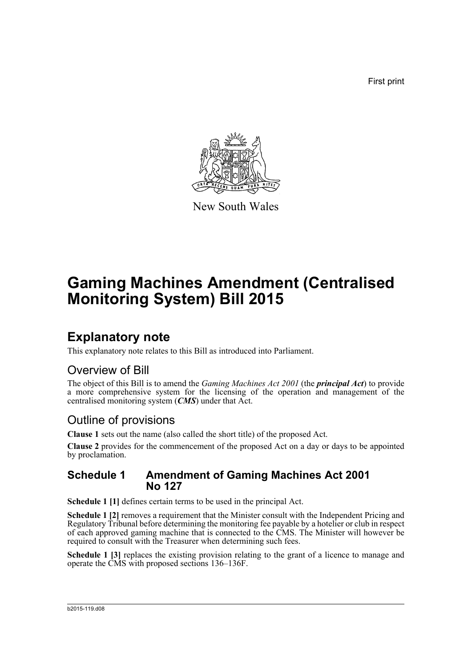First print



New South Wales

# **Gaming Machines Amendment (Centralised Monitoring System) Bill 2015**

## **Explanatory note**

This explanatory note relates to this Bill as introduced into Parliament.

## Overview of Bill

The object of this Bill is to amend the *Gaming Machines Act 2001* (the *principal Act*) to provide a more comprehensive system for the licensing of the operation and management of the centralised monitoring system (*CMS*) under that Act.

## Outline of provisions

**Clause 1** sets out the name (also called the short title) of the proposed Act.

**Clause 2** provides for the commencement of the proposed Act on a day or days to be appointed by proclamation.

## **Schedule 1 Amendment of Gaming Machines Act 2001 No 127**

**Schedule 1 [1]** defines certain terms to be used in the principal Act.

**Schedule 1 [2]** removes a requirement that the Minister consult with the Independent Pricing and Regulatory Tribunal before determining the monitoring fee payable by a hotelier or club in respect of each approved gaming machine that is connected to the CMS. The Minister will however be required to consult with the Treasurer when determining such fees.

**Schedule 1 [3]** replaces the existing provision relating to the grant of a licence to manage and operate the CMS with proposed sections 136–136F.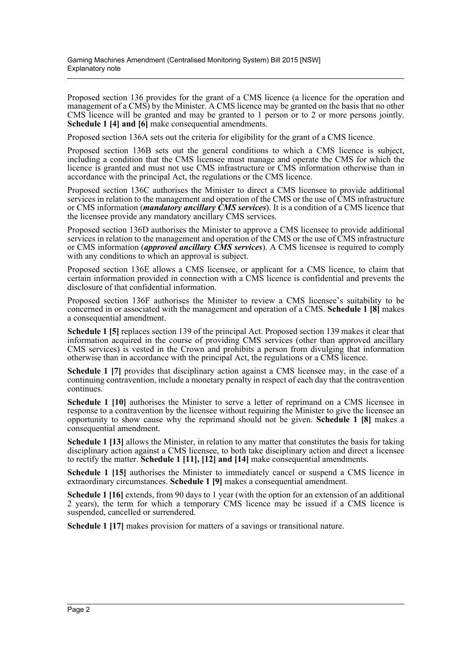Proposed section 136 provides for the grant of a CMS licence (a licence for the operation and management of a CMS) by the Minister. A CMS licence may be granted on the basis that no other CMS licence will be granted and may be granted to 1 person or to 2 or more persons jointly. **Schedule 1 [4] and [6]** make consequential amendments.

Proposed section 136A sets out the criteria for eligibility for the grant of a CMS licence.

Proposed section 136B sets out the general conditions to which a CMS licence is subject, including a condition that the CMS licensee must manage and operate the CMS for which the licence is granted and must not use CMS infrastructure or CMS information otherwise than in accordance with the principal Act, the regulations or the CMS licence.

Proposed section 136C authorises the Minister to direct a CMS licensee to provide additional services in relation to the management and operation of the CMS or the use of CMS infrastructure or CMS information (*mandatory ancillary CMS services*). It is a condition of a CMS licence that the licensee provide any mandatory ancillary CMS services.

Proposed section 136D authorises the Minister to approve a CMS licensee to provide additional services in relation to the management and operation of the CMS or the use of CMS infrastructure or CMS information (*approved ancillary CMS services*). A CMS licensee is required to comply with any conditions to which an approval is subject.

Proposed section 136E allows a CMS licensee, or applicant for a CMS licence, to claim that certain information provided in connection with a CMS licence is confidential and prevents the disclosure of that confidential information.

Proposed section 136F authorises the Minister to review a CMS licensee's suitability to be concerned in or associated with the management and operation of a CMS. **Schedule 1 [8]** makes a consequential amendment.

**Schedule 1 [5]** replaces section 139 of the principal Act. Proposed section 139 makes it clear that information acquired in the course of providing CMS services (other than approved ancillary CMS services) is vested in the Crown and prohibits a person from divulging that information otherwise than in accordance with the principal Act, the regulations or a CMS licence.

**Schedule 1 [7]** provides that disciplinary action against a CMS licensee may, in the case of a continuing contravention, include a monetary penalty in respect of each day that the contravention continues.

**Schedule 1 [10]** authorises the Minister to serve a letter of reprimand on a CMS licensee in response to a contravention by the licensee without requiring the Minister to give the licensee an opportunity to show cause why the reprimand should not be given. **Schedule 1 [8]** makes a consequential amendment.

**Schedule 1 [13]** allows the Minister, in relation to any matter that constitutes the basis for taking disciplinary action against a CMS licensee, to both take disciplinary action and direct a licensee to rectify the matter. **Schedule 1 [11], [12] and [14]** make consequential amendments.

**Schedule 1 [15]** authorises the Minister to immediately cancel or suspend a CMS licence in extraordinary circumstances. **Schedule 1 [9]** makes a consequential amendment.

**Schedule 1 [16]** extends, from 90 days to 1 year (with the option for an extension of an additional 2 years), the term for which a temporary CMS licence may be issued if a CMS licence is suspended, cancelled or surrendered.

**Schedule 1 [17]** makes provision for matters of a savings or transitional nature.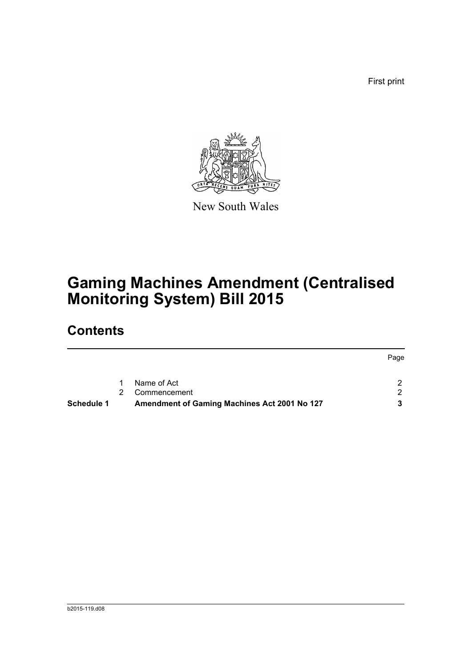First print



New South Wales

# **Gaming Machines Amendment (Centralised Monitoring System) Bill 2015**

## **Contents**

|                   |                |                                              | Page |
|-------------------|----------------|----------------------------------------------|------|
|                   | 1              | Name of Act                                  |      |
|                   | $\overline{2}$ | Commencement                                 |      |
| <b>Schedule 1</b> |                | Amendment of Gaming Machines Act 2001 No 127 |      |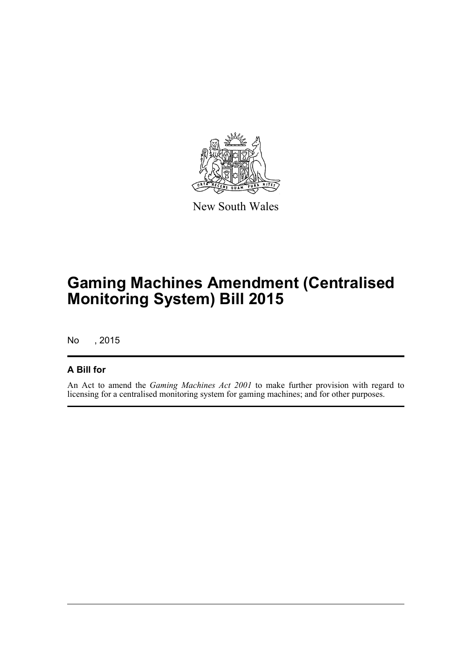

New South Wales

# **Gaming Machines Amendment (Centralised Monitoring System) Bill 2015**

No , 2015

### **A Bill for**

An Act to amend the *Gaming Machines Act 2001* to make further provision with regard to licensing for a centralised monitoring system for gaming machines; and for other purposes.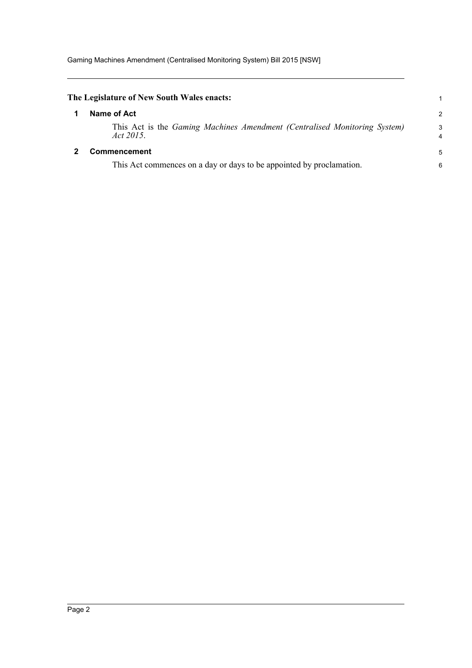<span id="page-4-1"></span><span id="page-4-0"></span>

| The Legislature of New South Wales enacts:                                             |                     |
|----------------------------------------------------------------------------------------|---------------------|
| Name of Act                                                                            | $\overline{c}$      |
| This Act is the Gaming Machines Amendment (Centralised Monitoring System)<br>Act 2015. | 3<br>$\overline{4}$ |
| <b>Commencement</b>                                                                    | 5                   |
| This Act commences on a day or days to be appointed by proclamation.                   | 6                   |
|                                                                                        |                     |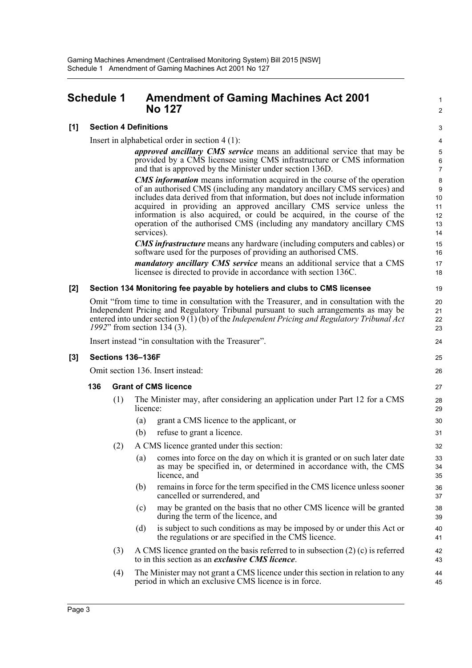## <span id="page-5-0"></span>**Schedule 1 Amendment of Gaming Machines Act 2001 No 127**

#### **[1] Section 4 Definitions**

Insert in alphabetical order in section 4 (1):

*approved ancillary CMS service* means an additional service that may be provided by a CMS licensee using CMS infrastructure or CMS information and that is approved by the Minister under section 136D.

1  $\overline{2}$ 

*CMS information* means information acquired in the course of the operation of an authorised CMS (including any mandatory ancillary CMS services) and includes data derived from that information, but does not include information acquired in providing an approved ancillary CMS service unless the information is also acquired, or could be acquired, in the course of the operation of the authorised CMS (including any mandatory ancillary CMS services).

*CMS infrastructure* means any hardware (including computers and cables) or software used for the purposes of providing an authorised CMS.

*mandatory ancillary CMS service* means an additional service that a CMS licensee is directed to provide in accordance with section 136C.

#### **[2] Section 134 Monitoring fee payable by hoteliers and clubs to CMS licensee**

Omit "from time to time in consultation with the Treasurer, and in consultation with the Independent Pricing and Regulatory Tribunal pursuant to such arrangements as may be entered into under section 9 (1) (b) of the *Independent Pricing and Regulatory Tribunal Act 1992*" from section 134 (3).

Insert instead "in consultation with the Treasurer".

#### **[3] Sections 136–136F**

Omit section 136. Insert instead:

#### **136 Grant of CMS licence**

- (1) The Minister may, after considering an application under Part 12 for a CMS licence:
	- (a) grant a CMS licence to the applicant, or
	- (b) refuse to grant a licence.
- (2) A CMS licence granted under this section:
	- (a) comes into force on the day on which it is granted or on such later date as may be specified in, or determined in accordance with, the CMS licence, and
	- (b) remains in force for the term specified in the CMS licence unless sooner cancelled or surrendered, and
	- (c) may be granted on the basis that no other CMS licence will be granted during the term of the licence, and
	- (d) is subject to such conditions as may be imposed by or under this Act or the regulations or are specified in the CMS licence.
- (3) A CMS licence granted on the basis referred to in subsection (2) (c) is referred to in this section as an *exclusive CMS licence*.
- (4) The Minister may not grant a CMS licence under this section in relation to any period in which an exclusive CMS licence is in force.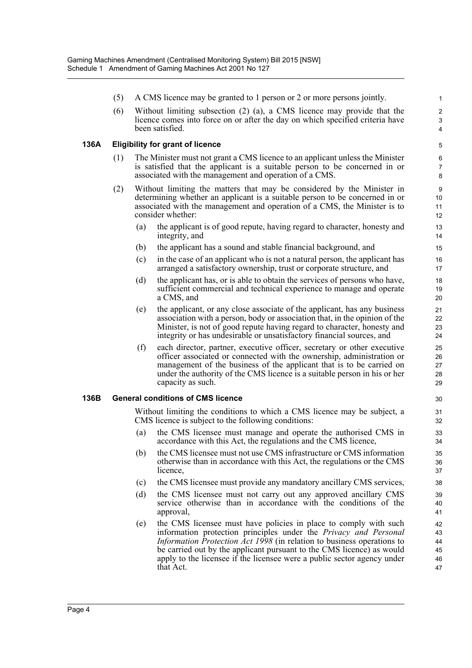- (5) A CMS licence may be granted to 1 person or 2 or more persons jointly.
- (6) Without limiting subsection (2) (a), a CMS licence may provide that the licence comes into force on or after the day on which specified criteria have been satisfied.

### **136A Eligibility for grant of licence**

- (1) The Minister must not grant a CMS licence to an applicant unless the Minister is satisfied that the applicant is a suitable person to be concerned in or associated with the management and operation of a CMS.
- (2) Without limiting the matters that may be considered by the Minister in determining whether an applicant is a suitable person to be concerned in or associated with the management and operation of a CMS, the Minister is to consider whether:
	- (a) the applicant is of good repute, having regard to character, honesty and integrity, and
	- (b) the applicant has a sound and stable financial background, and
	- (c) in the case of an applicant who is not a natural person, the applicant has arranged a satisfactory ownership, trust or corporate structure, and
	- (d) the applicant has, or is able to obtain the services of persons who have, sufficient commercial and technical experience to manage and operate a CMS, and
	- (e) the applicant, or any close associate of the applicant, has any business association with a person, body or association that, in the opinion of the Minister, is not of good repute having regard to character, honesty and integrity or has undesirable or unsatisfactory financial sources, and
	- (f) each director, partner, executive officer, secretary or other executive officer associated or connected with the ownership, administration or management of the business of the applicant that is to be carried on under the authority of the CMS licence is a suitable person in his or her capacity as such.

### **136B General conditions of CMS licence**

Without limiting the conditions to which a CMS licence may be subject, a CMS licence is subject to the following conditions:

- (a) the CMS licensee must manage and operate the authorised CMS in accordance with this Act, the regulations and the CMS licence,
- (b) the CMS licensee must not use CMS infrastructure or CMS information otherwise than in accordance with this Act, the regulations or the CMS licence,
- (c) the CMS licensee must provide any mandatory ancillary CMS services,
- (d) the CMS licensee must not carry out any approved ancillary CMS service otherwise than in accordance with the conditions of the approval,
- (e) the CMS licensee must have policies in place to comply with such information protection principles under the *Privacy and Personal Information Protection Act 1998* (in relation to business operations to be carried out by the applicant pursuant to the CMS licence) as would apply to the licensee if the licensee were a public sector agency under that Act.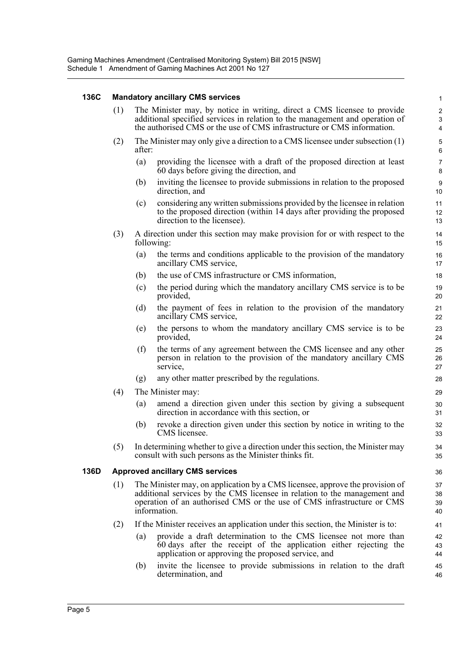### **136C Mandatory ancillary CMS services**

| 136C | <b>Mandatory ancillary CMS services</b> |                                                                                                                                                                                                                                                     |                                                                                                                                                                                            |                           |  |  |
|------|-----------------------------------------|-----------------------------------------------------------------------------------------------------------------------------------------------------------------------------------------------------------------------------------------------------|--------------------------------------------------------------------------------------------------------------------------------------------------------------------------------------------|---------------------------|--|--|
|      | (1)                                     | The Minister may, by notice in writing, direct a CMS licensee to provide<br>additional specified services in relation to the management and operation of<br>the authorised CMS or the use of CMS infrastructure or CMS information.                 |                                                                                                                                                                                            |                           |  |  |
|      | (2)                                     | The Minister may only give a direction to a CMS licensee under subsection (1)<br>after:                                                                                                                                                             |                                                                                                                                                                                            |                           |  |  |
|      |                                         | (a)                                                                                                                                                                                                                                                 | providing the licensee with a draft of the proposed direction at least<br>60 days before giving the direction, and                                                                         | $\overline{7}$<br>$\bf 8$ |  |  |
|      |                                         | (b)                                                                                                                                                                                                                                                 | inviting the licensee to provide submissions in relation to the proposed<br>direction, and                                                                                                 | $\boldsymbol{9}$<br>10    |  |  |
|      |                                         | (c)                                                                                                                                                                                                                                                 | considering any written submissions provided by the licensee in relation<br>to the proposed direction (within 14 days after providing the proposed<br>direction to the licensee).          | 11<br>12<br>13            |  |  |
|      | (3)                                     | A direction under this section may make provision for or with respect to the<br>following:                                                                                                                                                          |                                                                                                                                                                                            |                           |  |  |
|      |                                         | (a)                                                                                                                                                                                                                                                 | the terms and conditions applicable to the provision of the mandatory<br>ancillary CMS service,                                                                                            | 16<br>17                  |  |  |
|      |                                         | (b)                                                                                                                                                                                                                                                 | the use of CMS infrastructure or CMS information,                                                                                                                                          | 18                        |  |  |
|      |                                         | (c)                                                                                                                                                                                                                                                 | the period during which the mandatory ancillary CMS service is to be<br>provided,                                                                                                          | 19<br>20                  |  |  |
|      |                                         | (d)                                                                                                                                                                                                                                                 | the payment of fees in relation to the provision of the mandatory<br>ancillary CMS service,                                                                                                | 21<br>22                  |  |  |
|      |                                         | (e)                                                                                                                                                                                                                                                 | the persons to whom the mandatory ancillary CMS service is to be<br>provided,                                                                                                              | 23<br>24                  |  |  |
|      |                                         | (f)                                                                                                                                                                                                                                                 | the terms of any agreement between the CMS licensee and any other<br>person in relation to the provision of the mandatory ancillary CMS<br>service,                                        | 25<br>26<br>27            |  |  |
|      |                                         | (g)                                                                                                                                                                                                                                                 | any other matter prescribed by the regulations.                                                                                                                                            | 28                        |  |  |
|      | (4)                                     | The Minister may:                                                                                                                                                                                                                                   |                                                                                                                                                                                            |                           |  |  |
|      |                                         | (a)                                                                                                                                                                                                                                                 | amend a direction given under this section by giving a subsequent<br>direction in accordance with this section, or                                                                         | 30<br>31                  |  |  |
|      |                                         | (b)                                                                                                                                                                                                                                                 | revoke a direction given under this section by notice in writing to the<br>CMS licensee.                                                                                                   | 32<br>33                  |  |  |
|      | (5)                                     | In determining whether to give a direction under this section, the Minister may<br>consult with such persons as the Minister thinks fit.                                                                                                            |                                                                                                                                                                                            |                           |  |  |
| 136D | <b>Approved ancillary CMS services</b>  |                                                                                                                                                                                                                                                     |                                                                                                                                                                                            |                           |  |  |
|      | (1)                                     | The Minister may, on application by a CMS licensee, approve the provision of<br>additional services by the CMS licensee in relation to the management and<br>operation of an authorised CMS or the use of CMS infrastructure or CMS<br>information. |                                                                                                                                                                                            |                           |  |  |
|      | (2)                                     |                                                                                                                                                                                                                                                     | If the Minister receives an application under this section, the Minister is to:                                                                                                            | 41                        |  |  |
|      |                                         | (a)                                                                                                                                                                                                                                                 | provide a draft determination to the CMS licensee not more than<br>60 days after the receipt of the application either rejecting the<br>application or approving the proposed service, and | 42<br>43<br>44            |  |  |
|      |                                         | (b)                                                                                                                                                                                                                                                 | invite the licensee to provide submissions in relation to the draft<br>determination, and                                                                                                  | 45<br>46                  |  |  |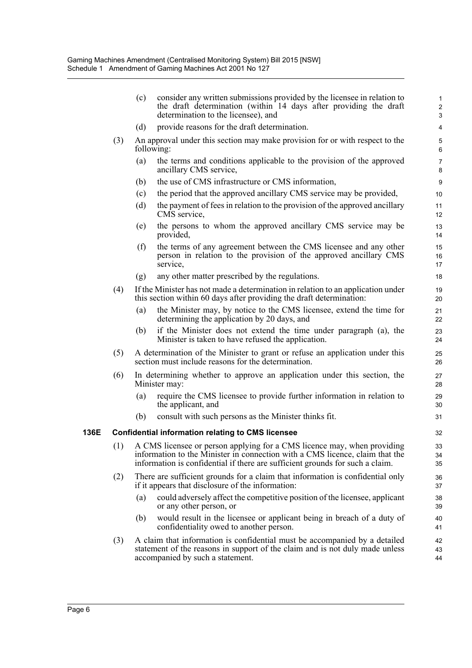|      |                                                                                                                                                                                                                                              | (c)                                                                                        | consider any written submissions provided by the licensee in relation to<br>the draft determination (within 14 days after providing the draft<br>determination to the licensee), and           | $\mathbf{1}$<br>$\boldsymbol{2}$<br>3 |  |
|------|----------------------------------------------------------------------------------------------------------------------------------------------------------------------------------------------------------------------------------------------|--------------------------------------------------------------------------------------------|------------------------------------------------------------------------------------------------------------------------------------------------------------------------------------------------|---------------------------------------|--|
|      |                                                                                                                                                                                                                                              | (d)                                                                                        | provide reasons for the draft determination.                                                                                                                                                   | $\overline{\mathbf{4}}$               |  |
|      | (3)                                                                                                                                                                                                                                          | An approval under this section may make provision for or with respect to the<br>following: |                                                                                                                                                                                                |                                       |  |
|      |                                                                                                                                                                                                                                              | (a)                                                                                        | the terms and conditions applicable to the provision of the approved<br>ancillary CMS service,                                                                                                 | $\overline{7}$<br>8                   |  |
|      |                                                                                                                                                                                                                                              | (b)                                                                                        | the use of CMS infrastructure or CMS information,                                                                                                                                              | $\boldsymbol{9}$                      |  |
|      |                                                                                                                                                                                                                                              | (c)                                                                                        | the period that the approved ancillary CMS service may be provided,                                                                                                                            | 10                                    |  |
|      |                                                                                                                                                                                                                                              | (d)                                                                                        | the payment of fees in relation to the provision of the approved ancillary<br>CMS service,                                                                                                     | 11<br>12                              |  |
|      |                                                                                                                                                                                                                                              | (e)                                                                                        | the persons to whom the approved ancillary CMS service may be<br>provided,                                                                                                                     | 13<br>14                              |  |
|      |                                                                                                                                                                                                                                              | (f)                                                                                        | the terms of any agreement between the CMS licensee and any other<br>person in relation to the provision of the approved ancillary CMS<br>service,                                             | 15<br>16<br>17                        |  |
|      |                                                                                                                                                                                                                                              | (g)                                                                                        | any other matter prescribed by the regulations.                                                                                                                                                | 18                                    |  |
|      | (4)                                                                                                                                                                                                                                          |                                                                                            | If the Minister has not made a determination in relation to an application under<br>this section within 60 days after providing the draft determination:                                       | 19<br>20                              |  |
|      |                                                                                                                                                                                                                                              | (a)                                                                                        | the Minister may, by notice to the CMS licensee, extend the time for<br>determining the application by 20 days, and                                                                            | 21<br>22                              |  |
|      |                                                                                                                                                                                                                                              | (b)                                                                                        | if the Minister does not extend the time under paragraph (a), the<br>Minister is taken to have refused the application.                                                                        | 23<br>24                              |  |
|      | (5)                                                                                                                                                                                                                                          |                                                                                            | A determination of the Minister to grant or refuse an application under this<br>section must include reasons for the determination.                                                            | 25<br>26                              |  |
|      | (6)                                                                                                                                                                                                                                          |                                                                                            | In determining whether to approve an application under this section, the<br>Minister may:                                                                                                      | 27<br>28                              |  |
|      |                                                                                                                                                                                                                                              | (a)                                                                                        | require the CMS licensee to provide further information in relation to<br>the applicant, and                                                                                                   | 29<br>30                              |  |
|      |                                                                                                                                                                                                                                              | (b)                                                                                        | consult with such persons as the Minister thinks fit.                                                                                                                                          | 31                                    |  |
| 136E |                                                                                                                                                                                                                                              |                                                                                            | <b>Confidential information relating to CMS licensee</b>                                                                                                                                       | 32                                    |  |
|      | (1) A CMS licensee or person applying for a CMS licence may, when providing<br>information to the Minister in connection with a CMS licence, claim that the<br>information is confidential if there are sufficient grounds for such a claim. |                                                                                            |                                                                                                                                                                                                |                                       |  |
|      | (2)                                                                                                                                                                                                                                          |                                                                                            | There are sufficient grounds for a claim that information is confidential only<br>if it appears that disclosure of the information:                                                            | 36<br>37                              |  |
|      |                                                                                                                                                                                                                                              | (a)                                                                                        | could adversely affect the competitive position of the licensee, applicant<br>or any other person, or                                                                                          | 38<br>39                              |  |
|      |                                                                                                                                                                                                                                              | (b)                                                                                        | would result in the licensee or applicant being in breach of a duty of<br>confidentiality owed to another person.                                                                              | 40<br>41                              |  |
|      | (3)                                                                                                                                                                                                                                          |                                                                                            | A claim that information is confidential must be accompanied by a detailed<br>statement of the reasons in support of the claim and is not duly made unless<br>accompanied by such a statement. | 42<br>43<br>44                        |  |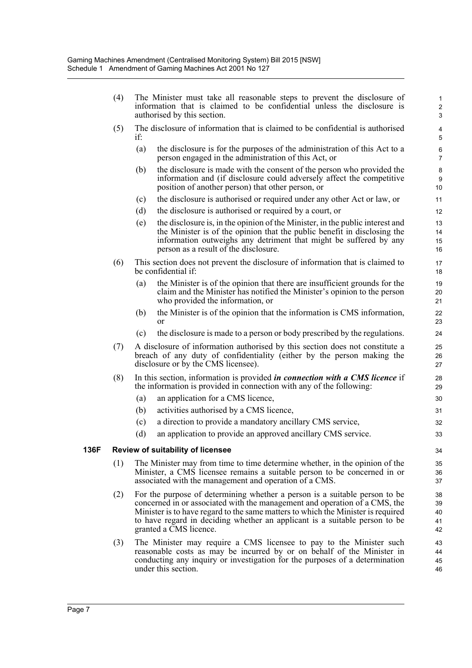| (4) | The Minister must take all reasonable steps to prevent the disclosure of<br>information that is claimed to be confidential unless the disclosure is<br>authorised by this section.                                                                                                                                                                   |                                                                                                                                                                                                                                                                         |                           |  |  |
|-----|------------------------------------------------------------------------------------------------------------------------------------------------------------------------------------------------------------------------------------------------------------------------------------------------------------------------------------------------------|-------------------------------------------------------------------------------------------------------------------------------------------------------------------------------------------------------------------------------------------------------------------------|---------------------------|--|--|
| (5) | if:                                                                                                                                                                                                                                                                                                                                                  | The disclosure of information that is claimed to be confidential is authorised                                                                                                                                                                                          | 4<br>5                    |  |  |
|     | (a)                                                                                                                                                                                                                                                                                                                                                  | the disclosure is for the purposes of the administration of this Act to a<br>person engaged in the administration of this Act, or                                                                                                                                       | 6<br>$\overline{7}$       |  |  |
|     | (b)                                                                                                                                                                                                                                                                                                                                                  | the disclosure is made with the consent of the person who provided the<br>information and (if disclosure could adversely affect the competitive<br>position of another person) that other person, or                                                                    | 8<br>9<br>10 <sup>1</sup> |  |  |
|     | (c)                                                                                                                                                                                                                                                                                                                                                  | the disclosure is authorised or required under any other Act or law, or                                                                                                                                                                                                 | 11                        |  |  |
|     | (d)                                                                                                                                                                                                                                                                                                                                                  | the disclosure is authorised or required by a court, or                                                                                                                                                                                                                 | 12                        |  |  |
|     | (e)                                                                                                                                                                                                                                                                                                                                                  | the disclosure is, in the opinion of the Minister, in the public interest and<br>the Minister is of the opinion that the public benefit in disclosing the<br>information outweighs any detriment that might be suffered by any<br>person as a result of the disclosure. | 13<br>14<br>15<br>16      |  |  |
| (6) |                                                                                                                                                                                                                                                                                                                                                      | This section does not prevent the disclosure of information that is claimed to<br>be confidential if:                                                                                                                                                                   | 17<br>18                  |  |  |
|     | (a)                                                                                                                                                                                                                                                                                                                                                  | the Minister is of the opinion that there are insufficient grounds for the<br>claim and the Minister has notified the Minister's opinion to the person<br>who provided the information, or                                                                              | 19<br>20<br>21            |  |  |
|     | (b)                                                                                                                                                                                                                                                                                                                                                  | the Minister is of the opinion that the information is CMS information,<br><sub>or</sub>                                                                                                                                                                                | 22<br>23                  |  |  |
|     | (c)                                                                                                                                                                                                                                                                                                                                                  | the disclosure is made to a person or body prescribed by the regulations.                                                                                                                                                                                               | 24                        |  |  |
| (7) |                                                                                                                                                                                                                                                                                                                                                      | A disclosure of information authorised by this section does not constitute a<br>breach of any duty of confidentiality (either by the person making the<br>disclosure or by the CMS licensee).                                                                           | 25<br>26<br>27            |  |  |
| (8) |                                                                                                                                                                                                                                                                                                                                                      | In this section, information is provided <i>in connection with a CMS licence</i> if<br>the information is provided in connection with any of the following:                                                                                                             | 28<br>29                  |  |  |
|     | (a)                                                                                                                                                                                                                                                                                                                                                  | an application for a CMS licence,                                                                                                                                                                                                                                       | 30                        |  |  |
|     | (b)                                                                                                                                                                                                                                                                                                                                                  | activities authorised by a CMS licence,                                                                                                                                                                                                                                 | 31                        |  |  |
|     | (c)                                                                                                                                                                                                                                                                                                                                                  | a direction to provide a mandatory ancillary CMS service,                                                                                                                                                                                                               | 32                        |  |  |
|     | (d)                                                                                                                                                                                                                                                                                                                                                  | an application to provide an approved ancillary CMS service.                                                                                                                                                                                                            | 33                        |  |  |
|     |                                                                                                                                                                                                                                                                                                                                                      | <b>Review of suitability of licensee</b>                                                                                                                                                                                                                                | 34                        |  |  |
| (1) |                                                                                                                                                                                                                                                                                                                                                      | The Minister may from time to time determine whether, in the opinion of the                                                                                                                                                                                             | 35                        |  |  |
|     | Minister, a CMS licensee remains a suitable person to be concerned in or<br>associated with the management and operation of a CMS.                                                                                                                                                                                                                   |                                                                                                                                                                                                                                                                         |                           |  |  |
| (2) | For the purpose of determining whether a person is a suitable person to be<br>concerned in or associated with the management and operation of a CMS, the<br>Minister is to have regard to the same matters to which the Minister is required<br>to have regard in deciding whether an applicant is a suitable person to be<br>granted a CMS licence. |                                                                                                                                                                                                                                                                         |                           |  |  |
| (3) |                                                                                                                                                                                                                                                                                                                                                      | The Minister may require a CMS licensee to pay to the Minister such<br>reasonable costs as may be incurred by or on behalf of the Minister in<br>conducting any inquiry or investigation for the purposes of a determination<br>under this section.                     | 43<br>44<br>45<br>46      |  |  |

**136F Review of suitability of licensee**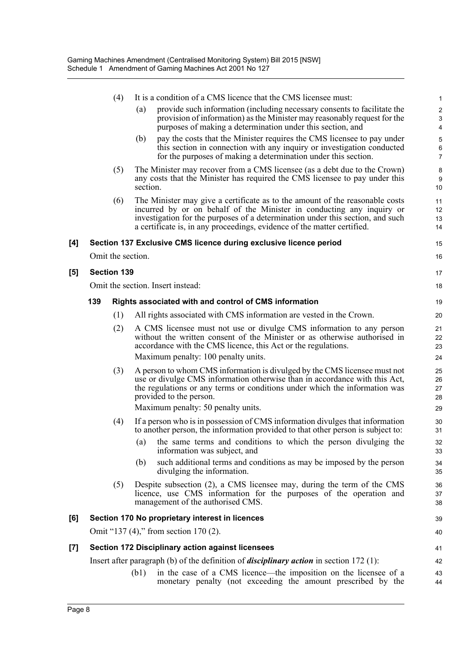|     |     | (4)                | It is a condition of a CMS licence that the CMS licensee must:                                                                                                                                                                                                                                                     | 1                          |
|-----|-----|--------------------|--------------------------------------------------------------------------------------------------------------------------------------------------------------------------------------------------------------------------------------------------------------------------------------------------------------------|----------------------------|
|     |     |                    | provide such information (including necessary consents to facilitate the<br>(a)<br>provision of information) as the Minister may reasonably request for the<br>purposes of making a determination under this section, and                                                                                          | $\boldsymbol{2}$<br>3<br>4 |
|     |     |                    | pay the costs that the Minister requires the CMS licensee to pay under<br>(b)<br>this section in connection with any inquiry or investigation conducted<br>for the purposes of making a determination under this section.                                                                                          | 5<br>6<br>7                |
|     |     | (5)                | The Minister may recover from a CMS licensee (as a debt due to the Crown)<br>any costs that the Minister has required the CMS licensee to pay under this<br>section.                                                                                                                                               | 8<br>9<br>10               |
|     |     | (6)                | The Minister may give a certificate as to the amount of the reasonable costs<br>incurred by or on behalf of the Minister in conducting any inquiry or<br>investigation for the purposes of a determination under this section, and such<br>a certificate is, in any proceedings, evidence of the matter certified. | 11<br>12<br>13<br>14       |
| [4] |     |                    | Section 137 Exclusive CMS licence during exclusive licence period                                                                                                                                                                                                                                                  | 15                         |
|     |     | Omit the section.  |                                                                                                                                                                                                                                                                                                                    | 16                         |
| [5] |     | <b>Section 139</b> |                                                                                                                                                                                                                                                                                                                    | 17                         |
|     |     |                    | Omit the section. Insert instead:                                                                                                                                                                                                                                                                                  | 18                         |
|     | 139 |                    | Rights associated with and control of CMS information                                                                                                                                                                                                                                                              | 19                         |
|     |     | (1)                | All rights associated with CMS information are vested in the Crown.                                                                                                                                                                                                                                                | 20                         |
|     |     | (2)                | A CMS licensee must not use or divulge CMS information to any person<br>without the written consent of the Minister or as otherwise authorised in<br>accordance with the CMS licence, this Act or the regulations.<br>Maximum penalty: 100 penalty units.                                                          | 21<br>22<br>23<br>24       |
|     |     | (3)                | A person to whom CMS information is divulged by the CMS licensee must not<br>use or divulge CMS information otherwise than in accordance with this Act,<br>the regulations or any terms or conditions under which the information was<br>provided to the person.<br>Maximum penalty: 50 penalty units.             | 25<br>26<br>27<br>28<br>29 |
|     |     | (4)                | If a person who is in possession of CMS information divulges that information<br>to another person, the information provided to that other person is subject to:<br>the same terms and conditions to which the person divulging the<br>(a)                                                                         | 30<br>31<br>32             |
|     |     |                    | information was subject, and<br>such additional terms and conditions as may be imposed by the person<br>(b)<br>divulging the information.                                                                                                                                                                          | 33<br>34<br>35             |
|     |     | (5)                | Despite subsection (2), a CMS licensee may, during the term of the CMS<br>licence, use CMS information for the purposes of the operation and<br>management of the authorised CMS.                                                                                                                                  | 36<br>37<br>38             |
| [6] |     |                    | Section 170 No proprietary interest in licences                                                                                                                                                                                                                                                                    | 39                         |
|     |     |                    | Omit "137 (4)," from section 170 (2).                                                                                                                                                                                                                                                                              | 40                         |
| [7] |     |                    | <b>Section 172 Disciplinary action against licensees</b>                                                                                                                                                                                                                                                           | 41                         |
|     |     |                    | Insert after paragraph (b) of the definition of <i>disciplinary action</i> in section $172$ (1):                                                                                                                                                                                                                   | 42                         |
|     |     |                    | in the case of a CMS licence—the imposition on the licensee of a<br>(b1)<br>monetary penalty (not exceeding the amount prescribed by the                                                                                                                                                                           | 43<br>44                   |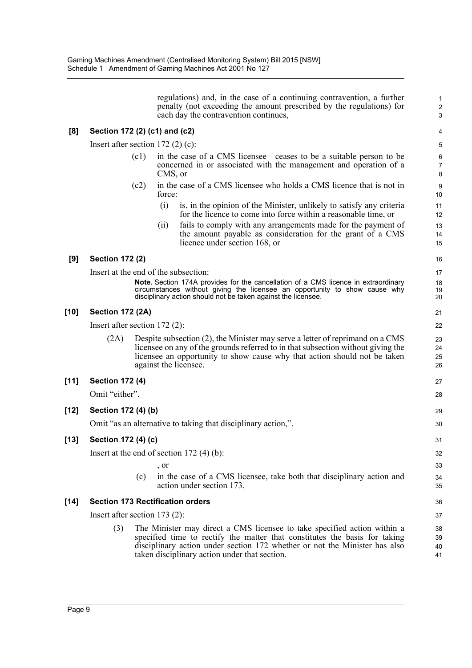regulations) and, in the case of a continuing contravention, a further penalty (not exceeding the amount prescribed by the regulations) for each day the contravention continues, **[8] Section 172 (2) (c1) and (c2)** Insert after section 172 (2) (c): (c1) in the case of a CMS licensee—ceases to be a suitable person to be concerned in or associated with the management and operation of a CMS, or (c2) in the case of a CMS licensee who holds a CMS licence that is not in force: (i) is, in the opinion of the Minister, unlikely to satisfy any criteria for the licence to come into force within a reasonable time, or (ii) fails to comply with any arrangements made for the payment of the amount payable as consideration for the grant of a CMS licence under section 168, or **[9] Section 172 (2)** Insert at the end of the subsection: **Note.** Section 174A provides for the cancellation of a CMS licence in extraordinary circumstances without giving the licensee an opportunity to show cause why disciplinary action should not be taken against the licensee. **[10] Section 172 (2A)** Insert after section 172 (2): (2A) Despite subsection (2), the Minister may serve a letter of reprimand on a CMS licensee on any of the grounds referred to in that subsection without giving the licensee an opportunity to show cause why that action should not be taken against the licensee. **[11] Section 172 (4)** Omit "either". **[12] Section 172 (4) (b)** Omit "as an alternative to taking that disciplinary action,". **[13] Section 172 (4) (c)** Insert at the end of section 172 (4) (b): , or (c) in the case of a CMS licensee, take both that disciplinary action and action under section 173. **[14] Section 173 Rectification orders** Insert after section 173 (2): (3) The Minister may direct a CMS licensee to take specified action within a specified time to rectify the matter that constitutes the basis for taking disciplinary action under section 172 whether or not the Minister has also taken disciplinary action under that section. 1 2 3 4 5 6 7 8 9 10 11 12 13 14 15 16 17 18 19 20 21 22 23 24 25 26 27 28 29 30 31 32 33 34 35 36 37 38 39  $40$ 41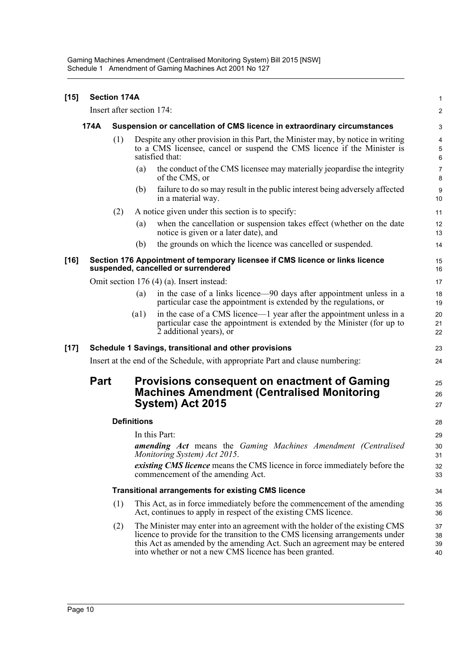| $[15]$ | <b>Section 174A</b>                                                              |                                                                                |                                                                                                                                                                                |                                                                                                                                                                                                                                                                                                       |                                |  |  |  |
|--------|----------------------------------------------------------------------------------|--------------------------------------------------------------------------------|--------------------------------------------------------------------------------------------------------------------------------------------------------------------------------|-------------------------------------------------------------------------------------------------------------------------------------------------------------------------------------------------------------------------------------------------------------------------------------------------------|--------------------------------|--|--|--|
|        |                                                                                  | Insert after section 174:                                                      |                                                                                                                                                                                |                                                                                                                                                                                                                                                                                                       |                                |  |  |  |
|        | 174A<br>Suspension or cancellation of CMS licence in extraordinary circumstances |                                                                                |                                                                                                                                                                                |                                                                                                                                                                                                                                                                                                       | 3                              |  |  |  |
|        |                                                                                  | (1)                                                                            | Despite any other provision in this Part, the Minister may, by notice in writing<br>to a CMS licensee, cancel or suspend the CMS licence if the Minister is<br>satisfied that: |                                                                                                                                                                                                                                                                                                       |                                |  |  |  |
|        |                                                                                  |                                                                                | (a)                                                                                                                                                                            | the conduct of the CMS licensee may materially jeopardise the integrity<br>of the CMS, or                                                                                                                                                                                                             | $\boldsymbol{7}$<br>8          |  |  |  |
|        |                                                                                  |                                                                                | (b)                                                                                                                                                                            | failure to do so may result in the public interest being adversely affected<br>in a material way.                                                                                                                                                                                                     | 9<br>10                        |  |  |  |
|        |                                                                                  | (2)                                                                            |                                                                                                                                                                                | A notice given under this section is to specify:                                                                                                                                                                                                                                                      | 11                             |  |  |  |
|        |                                                                                  |                                                                                | (a)                                                                                                                                                                            | when the cancellation or suspension takes effect (whether on the date<br>notice is given or a later date), and                                                                                                                                                                                        | 12<br>13                       |  |  |  |
|        |                                                                                  |                                                                                | (b)                                                                                                                                                                            | the grounds on which the licence was cancelled or suspended.                                                                                                                                                                                                                                          | 14                             |  |  |  |
| $[16]$ |                                                                                  |                                                                                |                                                                                                                                                                                | Section 176 Appointment of temporary licensee if CMS licence or links licence<br>suspended, cancelled or surrendered                                                                                                                                                                                  | 15<br>16                       |  |  |  |
|        |                                                                                  |                                                                                |                                                                                                                                                                                | Omit section 176 (4) (a). Insert instead:                                                                                                                                                                                                                                                             | 17                             |  |  |  |
|        |                                                                                  |                                                                                | (a)                                                                                                                                                                            | in the case of a links licence—90 days after appointment unless in a<br>particular case the appointment is extended by the regulations, or                                                                                                                                                            | 18<br>19                       |  |  |  |
|        |                                                                                  |                                                                                | $\left( a1\right)$                                                                                                                                                             | in the case of a CMS licence—1 year after the appointment unless in a<br>particular case the appointment is extended by the Minister (for up to<br>2 additional years), or                                                                                                                            | 20<br>21<br>22                 |  |  |  |
| $[17]$ |                                                                                  |                                                                                |                                                                                                                                                                                | Schedule 1 Savings, transitional and other provisions                                                                                                                                                                                                                                                 | 23                             |  |  |  |
|        |                                                                                  | Insert at the end of the Schedule, with appropriate Part and clause numbering: |                                                                                                                                                                                |                                                                                                                                                                                                                                                                                                       |                                |  |  |  |
|        | <b>Part</b>                                                                      |                                                                                |                                                                                                                                                                                | <b>Provisions consequent on enactment of Gaming</b><br><b>Machines Amendment (Centralised Monitoring</b><br>System) Act 2015                                                                                                                                                                          | 25<br>26<br>27                 |  |  |  |
|        |                                                                                  |                                                                                | <b>Definitions</b>                                                                                                                                                             |                                                                                                                                                                                                                                                                                                       | 28                             |  |  |  |
|        |                                                                                  |                                                                                |                                                                                                                                                                                | In this Part:<br>amending Act means the Gaming Machines Amendment (Centralised<br>Monitoring System) Act 2015.<br><i>existing CMS licence</i> means the CMS licence in force immediately before the<br>commencement of the amending Act.                                                              | 29<br>$30\,$<br>31<br>32<br>33 |  |  |  |
|        |                                                                                  |                                                                                |                                                                                                                                                                                | <b>Transitional arrangements for existing CMS licence</b>                                                                                                                                                                                                                                             | 34                             |  |  |  |
|        |                                                                                  | (1)                                                                            |                                                                                                                                                                                | This Act, as in force immediately before the commencement of the amending<br>Act, continues to apply in respect of the existing CMS licence.                                                                                                                                                          | 35<br>36                       |  |  |  |
|        |                                                                                  | (2)                                                                            |                                                                                                                                                                                | The Minister may enter into an agreement with the holder of the existing CMS<br>licence to provide for the transition to the CMS licensing arrangements under<br>this Act as amended by the amending Act. Such an agreement may be entered<br>into whether or not a new CMS licence has been granted. | 37<br>38<br>39<br>40           |  |  |  |